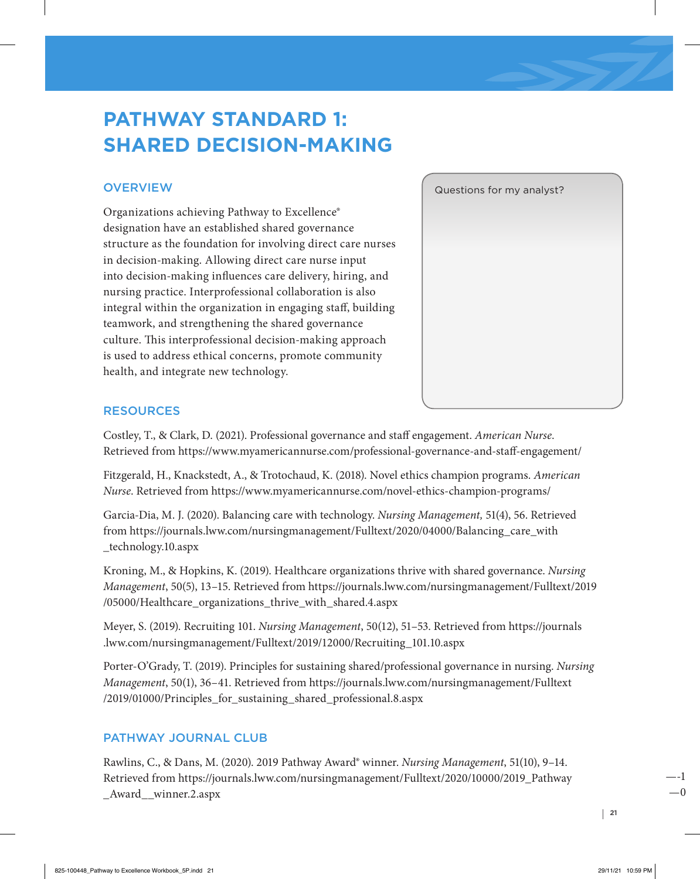# **PATHWAY STANDARD 1: SHARED DECISION-MAKING**

# **OVERVIEW**

Organizations achieving Pathway to Excellence® designation have an established shared governance structure as the foundation for involving direct care nurses in decision-making. Allowing direct care nurse input into decision-making influences care delivery, hiring, and nursing practice. Interprofessional collaboration is also integral within the organization in engaging staff, building teamwork, and strengthening the shared governance culture. This interprofessional decision-making approach is used to address ethical concerns, promote community health, and integrate new technology.



## RESOURCES

Costley, T., & Clark, D. (2021). Professional governance and staff engagement. *American Nurse*. Retrieved from <https://www.myamericannurse.com/professional-governance-and-staff-engagement/>

Fitzgerald, H., Knackstedt, A., & Trotochaud, K. (2018). Novel ethics champion programs. *American Nurse*. Retrieved from <https://www.myamericannurse.com/novel-ethics-champion-programs/>

Garcia-Dia, M. J. (2020). Balancing care with technology. *Nursing Management,* 51(4), 56. Retrieved from [https://journals.lww.com/nursingmanagement/Fulltext/2020/04000/Balancing\\_care\\_with](https://journals.lww.com/nursingmanagement/Fulltext/2020/04000/Balancing_care_with_technology.10.aspx) [\\_technology.10.aspx](https://journals.lww.com/nursingmanagement/Fulltext/2020/04000/Balancing_care_with_technology.10.aspx)

Kroning, M., & Hopkins, K. (2019). Healthcare organizations thrive with shared governance. *Nursing Management*, 50(5), 13–15. Retrieved from [https://journals.lww.com/nursingmanagement/Fulltext/2019](https://journals.lww.com/nursingmanagement/Fulltext/2019/05000/Healthcare_organizations_thrive_with_shared.4.aspx) [/05000/Healthcare\\_organizations\\_thrive\\_with\\_shared.4.aspx](https://journals.lww.com/nursingmanagement/Fulltext/2019/05000/Healthcare_organizations_thrive_with_shared.4.aspx)

Meyer, S. (2019). Recruiting 101. *Nursing Management*, 50(12), 51–53. Retrieved from [https://journals](https://journals.lww.com/nursingmanagement/Fulltext/2019/12000/Recruiting_101.10.aspx) [.lww.com/nursingmanagement/Fulltext/2019/12000/Recruiting\\_101.10.aspx](https://journals.lww.com/nursingmanagement/Fulltext/2019/12000/Recruiting_101.10.aspx)

Porter-O'Grady, T. (2019). Principles for sustaining shared/professional governance in nursing. *Nursing Management*, 50(1), 36–41. Retrieved from [https://journals.lww.com/nursingmanagement/Fulltext](https://journals.lww.com/nursingmanagement/Fulltext/2019/01000/Principles_for_sustaining_shared_professional.8.aspx) [/2019/01000/Principles\\_for\\_sustaining\\_shared\\_professional.8.aspx](https://journals.lww.com/nursingmanagement/Fulltext/2019/01000/Principles_for_sustaining_shared_professional.8.aspx)

## PATHWAY JOURNAL CLUB

Rawlins, C., & Dans, M. (2020). 2019 Pathway Award® winner. *Nursing Management*, 51(10), 9–14. Retrieved from [https://journals.lww.com/nursingmanagement/Fulltext/2020/10000/2019\\_Pathway](https://journals.lww.com/nursingmanagement/Fulltext/2020/10000/2019_Pathway_Award__winner.2.aspx) [\\_Award\\_\\_winner.2.aspx](https://journals.lww.com/nursingmanagement/Fulltext/2020/10000/2019_Pathway_Award__winner.2.aspx)